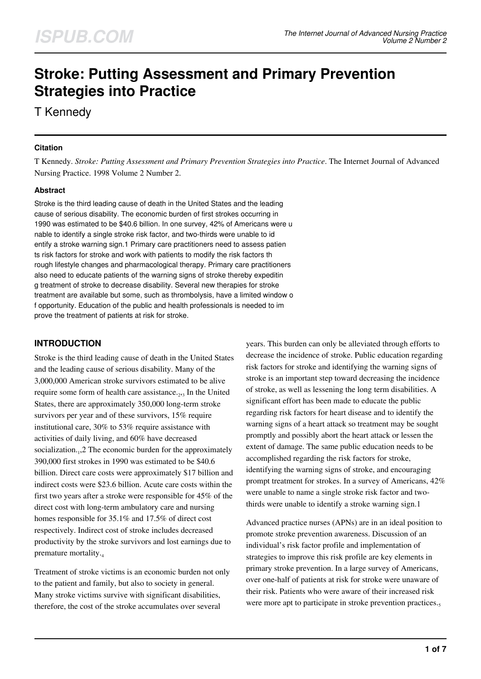# **Stroke: Putting Assessment and Primary Prevention Strategies into Practice**

T Kennedy

### **Citation**

T Kennedy. *Stroke: Putting Assessment and Primary Prevention Strategies into Practice*. The Internet Journal of Advanced Nursing Practice. 1998 Volume 2 Number 2.

### **Abstract**

Stroke is the third leading cause of death in the United States and the leading cause of serious disability. The economic burden of first strokes occurring in 1990 was estimated to be \$40.6 billion. In one survey, 42% of Americans were u nable to identify a single stroke risk factor, and two-thirds were unable to id entify a stroke warning sign.1 Primary care practitioners need to assess patien ts risk factors for stroke and work with patients to modify the risk factors th rough lifestyle changes and pharmacological therapy. Primary care practitioners also need to educate patients of the warning signs of stroke thereby expeditin g treatment of stroke to decrease disability. Several new therapies for stroke treatment are available but some, such as thrombolysis, have a limited window o f opportunity. Education of the public and health professionals is needed to im prove the treatment of patients at risk for stroke.

# **INTRODUCTION**

Stroke is the third leading cause of death in the United States and the leading cause of serious disability. Many of the 3,000,000 American stroke survivors estimated to be alive require some form of health care assistance.<sub>2,3</sub> In the United States, there are approximately 350,000 long-term stroke survivors per year and of these survivors, 15% require institutional care, 30% to 53% require assistance with activities of daily living, and 60% have decreased socialization.<sub>1</sub>,2 The economic burden for the approximately 390,000 first strokes in 1990 was estimated to be \$40.6 billion. Direct care costs were approximately \$17 billion and indirect costs were \$23.6 billion. Acute care costs within the first two years after a stroke were responsible for 45% of the direct cost with long-term ambulatory care and nursing homes responsible for 35.1% and 17.5% of direct cost respectively. Indirect cost of stroke includes decreased productivity by the stroke survivors and lost earnings due to premature mortality.<sup>4</sup>

Treatment of stroke victims is an economic burden not only to the patient and family, but also to society in general. Many stroke victims survive with significant disabilities, therefore, the cost of the stroke accumulates over several

years. This burden can only be alleviated through efforts to decrease the incidence of stroke. Public education regarding risk factors for stroke and identifying the warning signs of stroke is an important step toward decreasing the incidence of stroke, as well as lessening the long term disabilities. A significant effort has been made to educate the public regarding risk factors for heart disease and to identify the warning signs of a heart attack so treatment may be sought promptly and possibly abort the heart attack or lessen the extent of damage. The same public education needs to be accomplished regarding the risk factors for stroke, identifying the warning signs of stroke, and encouraging prompt treatment for strokes. In a survey of Americans, 42% were unable to name a single stroke risk factor and twothirds were unable to identify a stroke warning sign.1

Advanced practice nurses (APNs) are in an ideal position to promote stroke prevention awareness. Discussion of an individual's risk factor profile and implementation of strategies to improve this risk profile are key elements in primary stroke prevention. In a large survey of Americans, over one-half of patients at risk for stroke were unaware of their risk. Patients who were aware of their increased risk were more apt to participate in stroke prevention practices.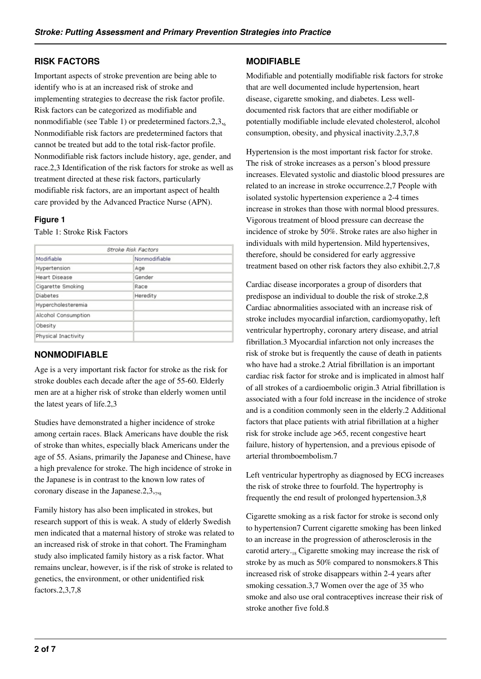### **RISK FACTORS**

Important aspects of stroke prevention are being able to identify who is at an increased risk of stroke and implementing strategies to decrease the risk factor profile. Risk factors can be categorized as modifiable and nonmodifiable (see Table 1) or predetermined factors.  $2,3,6$ Nonmodifiable risk factors are predetermined factors that cannot be treated but add to the total risk-factor profile. Nonmodifiable risk factors include history, age, gender, and race.2,3 Identification of the risk factors for stroke as well as treatment directed at these risk factors, particularly modifiable risk factors, are an important aspect of health care provided by the Advanced Practice Nurse (APN).

### **Figure 1**

Table 1: Stroke Risk Factors

| Stroke Risk Factors  |               |  |
|----------------------|---------------|--|
| Modifiable           | Nonmodifiable |  |
| Hypertension         | Age           |  |
| <b>Heart Disease</b> | Gender        |  |
| Cigarette Smoking    | Race          |  |
| <b>Diabetes</b>      | Heredity      |  |
| Hypercholesteremia   |               |  |
| Alcohol Consumption  |               |  |
| Obesity              |               |  |
| Physical Inactivity  |               |  |

# **NONMODIFIABLE**

Age is a very important risk factor for stroke as the risk for stroke doubles each decade after the age of 55-60. Elderly men are at a higher risk of stroke than elderly women until the latest years of life.2,3

Studies have demonstrated a higher incidence of stroke among certain races. Black Americans have double the risk of stroke than whites, especially black Americans under the age of 55. Asians, primarily the Japanese and Chinese, have a high prevalence for stroke. The high incidence of stroke in the Japanese is in contrast to the known low rates of coronary disease in the Japanese. $2,3,7,8$ 

Family history has also been implicated in strokes, but research support of this is weak. A study of elderly Swedish men indicated that a maternal history of stroke was related to an increased risk of stroke in that cohort. The Framingham study also implicated family history as a risk factor. What remains unclear, however, is if the risk of stroke is related to genetics, the environment, or other unidentified risk factors.2,3,7,8

### **MODIFIABLE**

Modifiable and potentially modifiable risk factors for stroke that are well documented include hypertension, heart disease, cigarette smoking, and diabetes. Less welldocumented risk factors that are either modifiable or potentially modifiable include elevated cholesterol, alcohol consumption, obesity, and physical inactivity.2,3,7,8

Hypertension is the most important risk factor for stroke. The risk of stroke increases as a person's blood pressure increases. Elevated systolic and diastolic blood pressures are related to an increase in stroke occurrence.2,7 People with isolated systolic hypertension experience a 2-4 times increase in strokes than those with normal blood pressures. Vigorous treatment of blood pressure can decrease the incidence of stroke by 50%. Stroke rates are also higher in individuals with mild hypertension. Mild hypertensives, therefore, should be considered for early aggressive treatment based on other risk factors they also exhibit.2,7,8

Cardiac disease incorporates a group of disorders that predispose an individual to double the risk of stroke.2,8 Cardiac abnormalities associated with an increase risk of stroke includes myocardial infarction, cardiomyopathy, left ventricular hypertrophy, coronary artery disease, and atrial fibrillation.3 Myocardial infarction not only increases the risk of stroke but is frequently the cause of death in patients who have had a stroke.2 Atrial fibrillation is an important cardiac risk factor for stroke and is implicated in almost half of all strokes of a cardioembolic origin.3 Atrial fibrillation is associated with a four fold increase in the incidence of stroke and is a condition commonly seen in the elderly.2 Additional factors that place patients with atrial fibrillation at a higher risk for stroke include age >65, recent congestive heart failure, history of hypertension, and a previous episode of arterial thromboembolism.7

Left ventricular hypertrophy as diagnosed by ECG increases the risk of stroke three to fourfold. The hypertrophy is frequently the end result of prolonged hypertension.3,8

Cigarette smoking as a risk factor for stroke is second only to hypertension7 Current cigarette smoking has been linked to an increase in the progression of atherosclerosis in the carotid artery.18 Cigarette smoking may increase the risk of stroke by as much as 50% compared to nonsmokers.8 This increased risk of stroke disappears within 2-4 years after smoking cessation.3,7 Women over the age of 35 who smoke and also use oral contraceptives increase their risk of stroke another five fold.8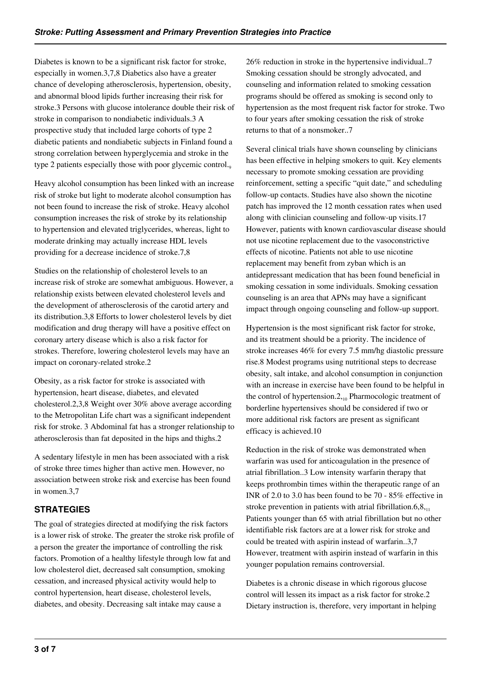Diabetes is known to be a significant risk factor for stroke, especially in women.3,7,8 Diabetics also have a greater chance of developing atherosclerosis, hypertension, obesity, and abnormal blood lipids further increasing their risk for stroke.3 Persons with glucose intolerance double their risk of stroke in comparison to nondiabetic individuals.3 A prospective study that included large cohorts of type 2 diabetic patients and nondiabetic subjects in Finland found a strong correlation between hyperglycemia and stroke in the type 2 patients especially those with poor glycemic control.

Heavy alcohol consumption has been linked with an increase risk of stroke but light to moderate alcohol consumption has not been found to increase the risk of stroke. Heavy alcohol consumption increases the risk of stroke by its relationship to hypertension and elevated triglycerides, whereas, light to moderate drinking may actually increase HDL levels providing for a decrease incidence of stroke.7,8

Studies on the relationship of cholesterol levels to an increase risk of stroke are somewhat ambiguous. However, a relationship exists between elevated cholesterol levels and the development of atherosclerosis of the carotid artery and its distribution.3,8 Efforts to lower cholesterol levels by diet modification and drug therapy will have a positive effect on coronary artery disease which is also a risk factor for strokes. Therefore, lowering cholesterol levels may have an impact on coronary-related stroke.2

Obesity, as a risk factor for stroke is associated with hypertension, heart disease, diabetes, and elevated cholesterol.2,3,8 Weight over 30% above average according to the Metropolitan Life chart was a significant independent risk for stroke. 3 Abdominal fat has a stronger relationship to atherosclerosis than fat deposited in the hips and thighs.2

A sedentary lifestyle in men has been associated with a risk of stroke three times higher than active men. However, no association between stroke risk and exercise has been found in women.3,7

# **STRATEGIES**

The goal of strategies directed at modifying the risk factors is a lower risk of stroke. The greater the stroke risk profile of a person the greater the importance of controlling the risk factors. Promotion of a healthy lifestyle through low fat and low cholesterol diet, decreased salt consumption, smoking cessation, and increased physical activity would help to control hypertension, heart disease, cholesterol levels, diabetes, and obesity. Decreasing salt intake may cause a

26% reduction in stroke in the hypertensive individual..7 Smoking cessation should be strongly advocated, and counseling and information related to smoking cessation programs should be offered as smoking is second only to hypertension as the most frequent risk factor for stroke. Two to four years after smoking cessation the risk of stroke returns to that of a nonsmoker..7

Several clinical trials have shown counseling by clinicians has been effective in helping smokers to quit. Key elements necessary to promote smoking cessation are providing reinforcement, setting a specific "quit date," and scheduling follow-up contacts. Studies have also shown the nicotine patch has improved the 12 month cessation rates when used along with clinician counseling and follow-up visits.17 However, patients with known cardiovascular disease should not use nicotine replacement due to the vasoconstrictive effects of nicotine. Patients not able to use nicotine replacement may benefit from zyban which is an antidepressant medication that has been found beneficial in smoking cessation in some individuals. Smoking cessation counseling is an area that APNs may have a significant impact through ongoing counseling and follow-up support.

Hypertension is the most significant risk factor for stroke, and its treatment should be a priority. The incidence of stroke increases 46% for every 7.5 mm/hg diastolic pressure rise.8 Modest programs using nutritional steps to decrease obesity, salt intake, and alcohol consumption in conjunction with an increase in exercise have been found to be helpful in the control of hypertension. $2_{10}$  Pharmocologic treatment of borderline hypertensives should be considered if two or more additional risk factors are present as significant efficacy is achieved.10

Reduction in the risk of stroke was demonstrated when warfarin was used for anticoagulation in the presence of atrial fibrillation..3 Low intensity warfarin therapy that keeps prothrombin times within the therapeutic range of an INR of 2.0 to 3.0 has been found to be 70 - 85% effective in stroke prevention in patients with atrial fibrillation. $6,8,11$ Patients younger than 65 with atrial fibrillation but no other identifiable risk factors are at a lower risk for stroke and could be treated with aspirin instead of warfarin..3,7 However, treatment with aspirin instead of warfarin in this younger population remains controversial.

Diabetes is a chronic disease in which rigorous glucose control will lessen its impact as a risk factor for stroke.2 Dietary instruction is, therefore, very important in helping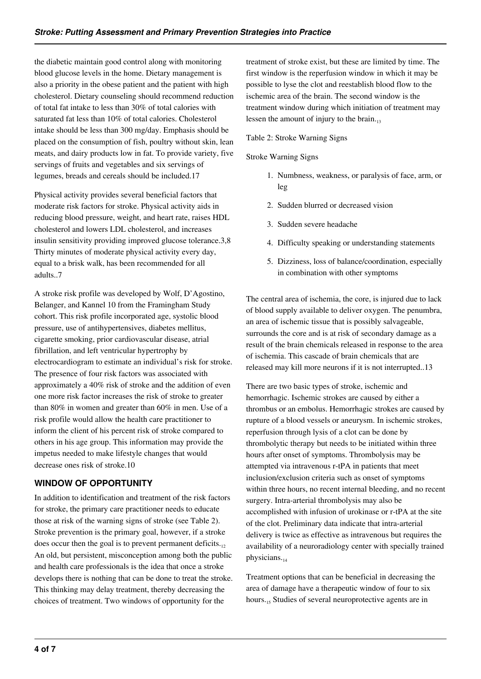the diabetic maintain good control along with monitoring blood glucose levels in the home. Dietary management is also a priority in the obese patient and the patient with high cholesterol. Dietary counseling should recommend reduction of total fat intake to less than 30% of total calories with saturated fat less than 10% of total calories. Cholesterol intake should be less than 300 mg/day. Emphasis should be placed on the consumption of fish, poultry without skin, lean meats, and dairy products low in fat. To provide variety, five servings of fruits and vegetables and six servings of legumes, breads and cereals should be included.17

Physical activity provides several beneficial factors that moderate risk factors for stroke. Physical activity aids in reducing blood pressure, weight, and heart rate, raises HDL cholesterol and lowers LDL cholesterol, and increases insulin sensitivity providing improved glucose tolerance.3,8 Thirty minutes of moderate physical activity every day, equal to a brisk walk, has been recommended for all adults..7

A stroke risk profile was developed by Wolf, D'Agostino, Belanger, and Kannel 10 from the Framingham Study cohort. This risk profile incorporated age, systolic blood pressure, use of antihypertensives, diabetes mellitus, cigarette smoking, prior cardiovascular disease, atrial fibrillation, and left ventricular hypertrophy by electrocardiogram to estimate an individual's risk for stroke. The presence of four risk factors was associated with approximately a 40% risk of stroke and the addition of even one more risk factor increases the risk of stroke to greater than 80% in women and greater than 60% in men. Use of a risk profile would allow the health care practitioner to inform the client of his percent risk of stroke compared to others in his age group. This information may provide the impetus needed to make lifestyle changes that would decrease ones risk of stroke.10

# **WINDOW OF OPPORTUNITY**

In addition to identification and treatment of the risk factors for stroke, the primary care practitioner needs to educate those at risk of the warning signs of stroke (see Table 2). Stroke prevention is the primary goal, however, if a stroke does occur then the goal is to prevent permanent deficits. $_{12}$ An old, but persistent, misconception among both the public and health care professionals is the idea that once a stroke develops there is nothing that can be done to treat the stroke. This thinking may delay treatment, thereby decreasing the choices of treatment. Two windows of opportunity for the

treatment of stroke exist, but these are limited by time. The first window is the reperfusion window in which it may be possible to lyse the clot and reestablish blood flow to the ischemic area of the brain. The second window is the treatment window during which initiation of treatment may lessen the amount of injury to the brain. $_{13}$ 

#### Table 2: Stroke Warning Signs

#### Stroke Warning Signs

- 1. Numbness, weakness, or paralysis of face, arm, or leg
- 2. Sudden blurred or decreased vision
- 3. Sudden severe headache
- 4. Difficulty speaking or understanding statements
- 5. Dizziness, loss of balance/coordination, especially in combination with other symptoms

The central area of ischemia, the core, is injured due to lack of blood supply available to deliver oxygen. The penumbra, an area of ischemic tissue that is possibly salvageable, surrounds the core and is at risk of secondary damage as a result of the brain chemicals released in response to the area of ischemia. This cascade of brain chemicals that are released may kill more neurons if it is not interrupted..13

There are two basic types of stroke, ischemic and hemorrhagic. Ischemic strokes are caused by either a thrombus or an embolus. Hemorrhagic strokes are caused by rupture of a blood vessels or aneurysm. In ischemic strokes, reperfusion through lysis of a clot can be done by thrombolytic therapy but needs to be initiated within three hours after onset of symptoms. Thrombolysis may be attempted via intravenous r-tPA in patients that meet inclusion/exclusion criteria such as onset of symptoms within three hours, no recent internal bleeding, and no recent surgery. Intra-arterial thrombolysis may also be accomplished with infusion of urokinase or r-tPA at the site of the clot. Preliminary data indicate that intra-arterial delivery is twice as effective as intravenous but requires the availability of a neuroradiology center with specially trained physicians.<sub>14</sub>

Treatment options that can be beneficial in decreasing the area of damage have a therapeutic window of four to six hours.<sub>15</sub> Studies of several neuroprotective agents are in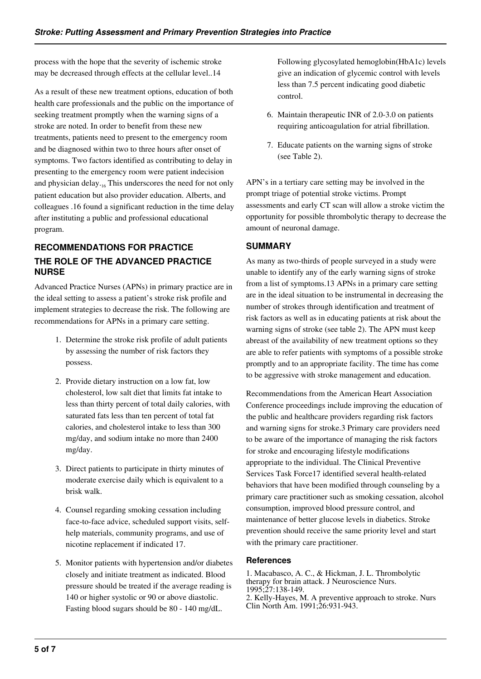process with the hope that the severity of ischemic stroke may be decreased through effects at the cellular level..14

As a result of these new treatment options, education of both health care professionals and the public on the importance of seeking treatment promptly when the warning signs of a stroke are noted. In order to benefit from these new treatments, patients need to present to the emergency room and be diagnosed within two to three hours after onset of symptoms. Two factors identified as contributing to delay in presenting to the emergency room were patient indecision and physician delay. $16$  This underscores the need for not only patient education but also provider education. Alberts, and colleagues .16 found a significant reduction in the time delay after instituting a public and professional educational program.

# **RECOMMENDATIONS FOR PRACTICE THE ROLE OF THE ADVANCED PRACTICE NURSE**

Advanced Practice Nurses (APNs) in primary practice are in the ideal setting to assess a patient's stroke risk profile and implement strategies to decrease the risk. The following are recommendations for APNs in a primary care setting.

- 1. Determine the stroke risk profile of adult patients by assessing the number of risk factors they possess.
- 2. Provide dietary instruction on a low fat, low cholesterol, low salt diet that limits fat intake to less than thirty percent of total daily calories, with saturated fats less than ten percent of total fat calories, and cholesterol intake to less than 300 mg/day, and sodium intake no more than 2400 mg/day.
- 3. Direct patients to participate in thirty minutes of moderate exercise daily which is equivalent to a brisk walk.
- 4. Counsel regarding smoking cessation including face-to-face advice, scheduled support visits, selfhelp materials, community programs, and use of nicotine replacement if indicated 17.
- 5. Monitor patients with hypertension and/or diabetes closely and initiate treatment as indicated. Blood pressure should be treated if the average reading is 140 or higher systolic or 90 or above diastolic. Fasting blood sugars should be 80 - 140 mg/dL.

Following glycosylated hemoglobin(HbA1c) levels give an indication of glycemic control with levels less than 7.5 percent indicating good diabetic control.

- 6. Maintain therapeutic INR of 2.0-3.0 on patients requiring anticoagulation for atrial fibrillation.
- 7. Educate patients on the warning signs of stroke (see Table 2).

APN's in a tertiary care setting may be involved in the prompt triage of potential stroke victims. Prompt assessments and early CT scan will allow a stroke victim the opportunity for possible thrombolytic therapy to decrease the amount of neuronal damage.

# **SUMMARY**

As many as two-thirds of people surveyed in a study were unable to identify any of the early warning signs of stroke from a list of symptoms.13 APNs in a primary care setting are in the ideal situation to be instrumental in decreasing the number of strokes through identification and treatment of risk factors as well as in educating patients at risk about the warning signs of stroke (see table 2). The APN must keep abreast of the availability of new treatment options so they are able to refer patients with symptoms of a possible stroke promptly and to an appropriate facility. The time has come to be aggressive with stroke management and education.

Recommendations from the American Heart Association Conference proceedings include improving the education of the public and healthcare providers regarding risk factors and warning signs for stroke.3 Primary care providers need to be aware of the importance of managing the risk factors for stroke and encouraging lifestyle modifications appropriate to the individual. The Clinical Preventive Services Task Force17 identified several health-related behaviors that have been modified through counseling by a primary care practitioner such as smoking cessation, alcohol consumption, improved blood pressure control, and maintenance of better glucose levels in diabetics. Stroke prevention should receive the same priority level and start with the primary care practitioner.

#### **References**

1. Macabasco, A. C., & Hickman, J. L. Thrombolytic therapy for brain attack. J Neuroscience Nurs. 1995;27:138-149. 2. Kelly-Hayes, M. A preventive approach to stroke. Nurs Clin North Am. 1991;26:931-943.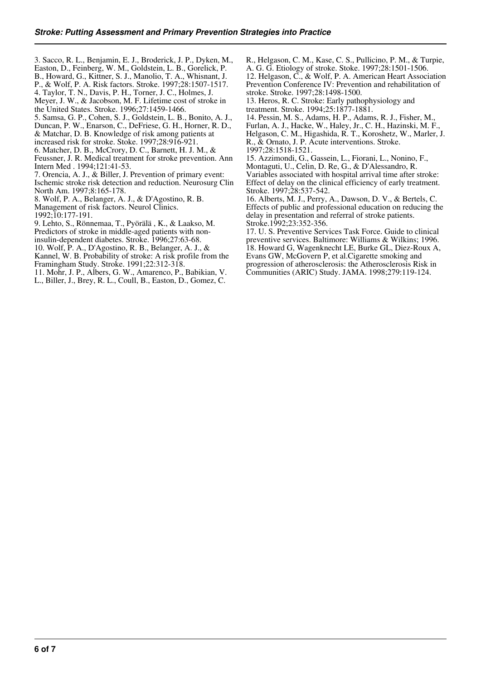3. Sacco, R. L., Benjamin, E. J., Broderick, J. P., Dyken, M., Easton, D., Feinberg, W. M., Goldstein, L. B., Gorelick, P.

B., Howard, G., Kittner, S. J., Manolio, T. A., Whisnant, J.

P., & Wolf, P. A. Risk factors. Stroke. 1997;28:1507-1517.

4. Taylor, T. N., Davis, P. H., Torner, J. C., Holmes, J.

Meyer, J. W., & Jacobson, M. F. Lifetime cost of stroke in

the United States. Stroke. 1996;27:1459-1466.

5. Samsa, G. P., Cohen, S. J., Goldstein, L. B., Bonito, A. J.,

Duncan, P. W., Enarson, C., DeFriese, G. H., Horner, R. D., & Matchar, D. B. Knowledge of risk among patients at

increased risk for stroke. Stoke. 1997;28:916-921.

6. Matcher, D. B., McCrory, D. C., Barnett, H. J. M., &

Feussner, J. R. Medical treatment for stroke prevention. Ann Intern Med . 1994;121:41-53.

7. Orencia, A. J., & Biller, J. Prevention of primary event: Ischemic stroke risk detection and reduction. Neurosurg Clin North Am. 1997;8:165-178.

8. Wolf, P. A., Belanger, A. J., & D'Agostino, R. B.

Management of risk factors. Neurol Clinics.

1992;10:177-191.

9. Lehto, S., Rönnemaa, T., Pyörälä , K., & Laakso, M. Predictors of stroke in middle-aged patients with non-

insulin-dependent diabetes. Stroke. 1996;27:63-68.

10. Wolf, P. A., D'Agostino, R. B., Belanger, A. J., &

Kannel, W. B. Probability of stroke: A risk profile from the

Framingham Study. Stroke. 1991;22:312-318. 11. Mohr, J. P., Albers, G. W., Amarenco, P., Babikian, V.

L., Biller, J., Brey, R. L., Coull, B., Easton, D., Gomez, C.

R., Helgason, C. M., Kase, C. S., Pullicino, P. M., & Turpie, A. G. G. Etiology of stroke. Stoke. 1997;28:1501-1506. 12. Helgason, C., & Wolf, P. A. American Heart Association Prevention Conference IV: Prevention and rehabilitation of

stroke. Stroke. 1997;28:1498-1500. 13. Heros, R. C. Stroke: Early pathophysiology and treatment. Stroke. 1994;25:1877-1881.

14. Pessin, M. S., Adams, H. P., Adams, R. J., Fisher, M., Furlan, A. J., Hacke, W., Haley, Jr., C. H., Hazinski, M. F., Helgason, C. M., Higashida, R. T., Koroshetz, W., Marler, J. R., & Ornato, J. P. Acute interventions. Stroke. 1997;28:1518-1521.

15. Azzimondi, G., Gassein, L., Fiorani, L., Nonino, F., Montaguti, U., Celin, D. Re, G., & D'Alessandro, R. Variables associated with hospital arrival time after stroke: Effect of delay on the clinical efficiency of early treatment. Stroke. 1997;28:537-542.

16. Alberts, M. J., Perry, A., Dawson, D. V., & Bertels, C. Effects of public and professional education on reducing the delay in presentation and referral of stroke patients. Stroke.1992;23:352-356.

17. U. S. Preventive Services Task Force. Guide to clinical preventive services. Baltimore: Williams & Wilkins; 1996. 18. Howard G, Wagenknecht LE, Burke GL, Diez-Roux A, Evans GW, McGovern P, et al.Cigarette smoking and progression of atherosclerosis: the Atherosclerosis Risk in Communities (ARIC) Study. JAMA. 1998;279:119-124.